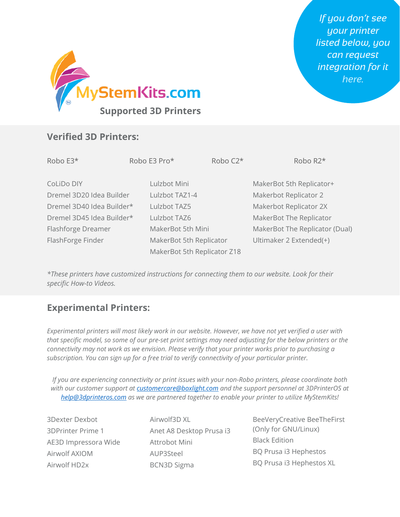

## **Verified 3D Printers:**

| Robo E3*                  | Robo E3 Pro*                | Robo C <sub>2</sub> * | Robo R <sub>2</sub> *          |
|---------------------------|-----------------------------|-----------------------|--------------------------------|
| CoLiDo DIY                | Lulzbot Mini                |                       | MakerBot 5th Replicator+       |
| Dremel 3D20 Idea Builder  | Lulzbot TAZ1-4              |                       | Makerbot Replicator 2          |
| Dremel 3D40 Idea Builder* | Lulzbot TAZ5                |                       | Makerbot Replicator 2X         |
| Dremel 3D45 Idea Builder* | Lulzbot TAZ6                |                       | MakerBot The Replicator        |
| Flashforge Dreamer        | MakerBot 5th Mini           |                       | MakerBot The Replicator (Dual) |
| FlashForge Finder         | MakerBot 5th Replicator     |                       | Ultimaker 2 Extended(+)        |
|                           | MakerBot 5th Replicator Z18 |                       |                                |

*\*These printers have customized instructions for connecting them to our website. Look for their specific How-to Videos.*

## **Experimental Printers:**

*Experimental printers will most likely work in our website. However, we have not yet verified a user with that specific model, so some of our pre-set print settings may need adjusting for the below printers or the connectivity may not work as we envision. Please verify that your printer works prior to purchasing a subscription. You can sign up for a free trial to verify connectivity of your particular printer.*

*If you are experiencing connectivity or print issues with your non-Robo printers, please coordinate both with our customer support at [customercare@boxlight.com](mailto:customercare@boxlight.com) and the support personnel at 3DPrinterOS at [help@3dprinteros.com](mailto:help@3dprinteros.com) as we are partnered together to enable your printer to utilize MyStemKits!*

3Dexter Dexbot 3DPrinter Prime 1 AE3D Impressora Wide Airwolf AXIOM Airwolf HD2x

Airwolf3D XL Anet A8 Desktop Prusa i3 Attrobot Mini AUP3Steel BCN3D Sigma

BeeVeryCreative BeeTheFirst (Only for GNU/Linux) Black Edition BQ Prusa i3 Hephestos BQ Prusa i3 Hephestos XL

*If you don't see your printer listed below, you can request integration for it [here.](https://docs.google.com/forms/d/e/1FAIpQLSeyMjxVHj5RXLpbFsJZHwWcu-LVnuc-M9_eppQfZJmRpYNWgA/viewform)*